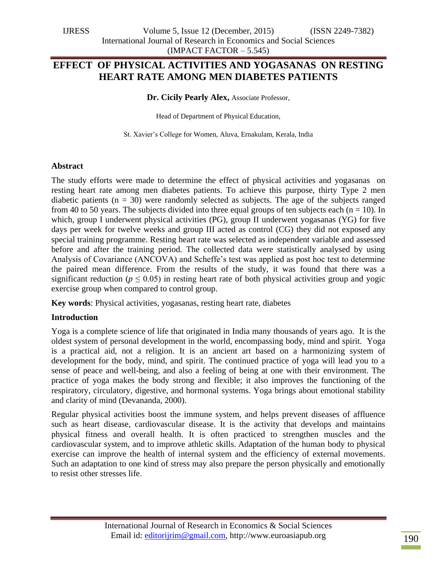# **EFFECT OF PHYSICAL ACTIVITIES AND YOGASANAS ON RESTING HEART RATE AMONG MEN DIABETES PATIENTS**

**Dr. Cicily Pearly Alex,** Associate Professor,

Head of Department of Physical Education,

St. Xavier"s College for Women, Aluva, Ernakulam, Kerala, India

#### **Abstract**

The study efforts were made to determine the effect of physical activities and yogasanas on resting heart rate among men diabetes patients. To achieve this purpose, thirty Type 2 men diabetic patients ( $n = 30$ ) were randomly selected as subjects. The age of the subjects ranged from 40 to 50 years. The subjects divided into three equal groups of ten subjects each ( $n = 10$ ). In which, group I underwent physical activities (PG), group II underwent yogasanas (YG) for five days per week for twelve weeks and group III acted as control (CG) they did not exposed any special training programme. Resting heart rate was selected as independent variable and assessed before and after the training period. The collected data were statistically analysed by using Analysis of Covariance (ANCOVA) and Scheffe's test was applied as post hoc test to determine the paired mean difference. From the results of the study, it was found that there was a significant reduction ( $p \leq 0.05$ ) in resting heart rate of both physical activities group and yogic exercise group when compared to control group.

**Key words**: Physical activities, yogasanas, resting heart rate, diabetes

### **Introduction**

Yoga is a complete science of life that originated in India many thousands of years ago. It is the oldest system of personal development in the world, encompassing body, mind and spirit. Yoga is a practical aid, not a religion. It is an ancient art based on a harmonizing system of development for the body, mind, and spirit. The continued practice of yoga will lead you to a sense of peace and well-being, and also a feeling of being at one with their environment. The practice of yoga makes the body strong and flexible; it also improves the functioning of the respiratory, circulatory, digestive, and hormonal systems. Yoga brings about emotional stability and clarity of mind (Devananda, 2000).

Regular physical activities boost the immune system, and helps prevent diseases of affluence such as heart disease, cardiovascular disease. It is the activity that develops and maintains physical fitness and overall health. It is often practiced to strengthen muscles and the cardiovascular system, and to improve athletic skills. Adaptation of the human body to physical exercise can improve the health of internal system and the efficiency of external movements. Such an adaptation to one kind of stress may also prepare the person physically and emotionally to resist other stresses life.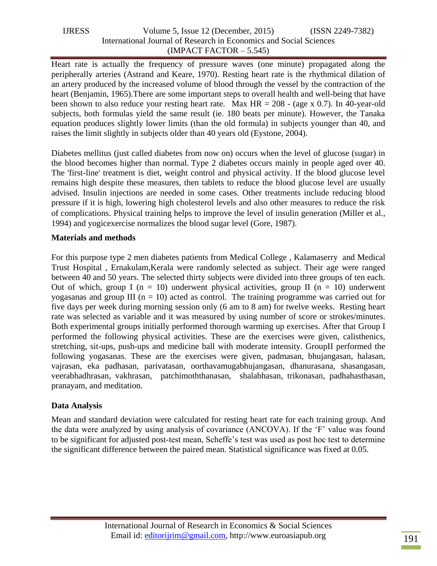| <b>IJRESS</b> | Volume 5, Issue $12$ (December, $2015$ )                           | $(ISSN 2249-7382)$ |  |
|---------------|--------------------------------------------------------------------|--------------------|--|
|               | International Journal of Research in Economics and Social Sciences |                    |  |
|               | $(IMPACT FACTOR - 5.545)$                                          |                    |  |

Heart rate is actually the frequency of pressure waves (one minute) propagated along the peripherally arteries (Astrand and Keare, 1970). Resting heart rate is the rhythmical dilation of an artery produced by the increased volume of blood through the vessel by the contraction of the heart (Benjamin, 1965).There are some important steps to overall health and well-being that have been shown to also reduce your resting heart rate. Max  $HR = 208 - (age \times 0.7)$ . In 40-year-old subjects, both formulas yield the same result (ie. 180 beats per minute). However, the Tanaka equation produces slightly lower limits (than the old formula) in subjects younger than 40, and raises the limit slightly in subjects older than 40 years old (Eystone, 2004).

Diabetes mellitus (just called diabetes from now on) occurs when the level of glucose (sugar) in the blood becomes higher than normal. Type 2 diabetes occurs mainly in people aged over 40. The 'first-line' treatment is diet, weight control and physical activity. If the blood glucose level remains high despite these measures, then tablets to reduce the blood glucose level are usually advised. Insulin injections are needed in some cases. Other treatments include reducing blood pressure if it is high, lowering high cholesterol levels and also other measures to reduce the risk of complications. Physical training helps to improve the level of insulin generation (Miller et al., 1994) and yogicexercise normalizes the blood sugar level (Gore, 1987).

# **Materials and methods**

For this purpose type 2 men diabetes patients from Medical College , Kalamaserry and Medical Trust Hospital , Ernakulam,Kerala were randomly selected as subject. Their age were ranged between 40 and 50 years. The selected thirty subjects were divided into three groups of ten each. Out of which, group I (n = 10) underwent physical activities, group II (n = 10) underwent yogasanas and group III ( $n = 10$ ) acted as control. The training programme was carried out for five days per week during morning session only (6 am to 8 am) for twelve weeks. Resting heart rate was selected as variable and it was measured by using number of score or strokes/minutes. Both experimental groups initially performed thorough warming up exercises. After that Group I performed the following physical activities. These are the exercises were given, calisthenics, stretching, sit-ups, push-ups and medicine ball with moderate intensity. GroupII performed the following yogasanas. These are the exercises were given, padmasan, bhujangasan, halasan, vajrasan, eka padhasan, parivatasan, oorthavamugabhujangasan, dhanurasana, shasangasan, veerabhadhrasan, vakhrasan, patchimoththanasan, shalabhasan, trikonasan, padhahasthasan, pranayam, and meditation.

# **Data Analysis**

Mean and standard deviation were calculated for resting heart rate for each training group. And the data were analyzed by using analysis of covariance (ANCOVA). If the "F" value was found to be significant for adjusted post-test mean, Scheffe's test was used as post hoc test to determine the significant difference between the paired mean. Statistical significance was fixed at 0.05.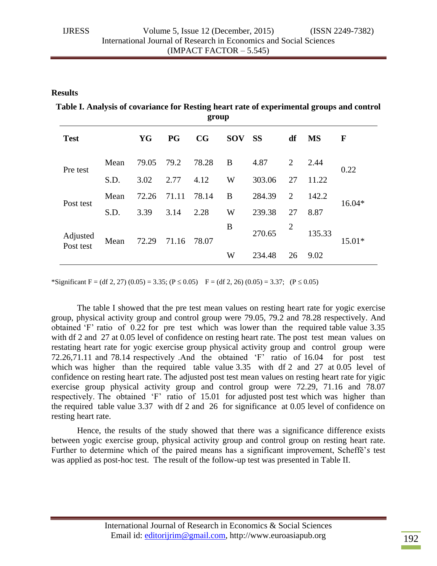#### **Results**

**Table I. Analysis of covariance for Resting heart rate of experimental groups and control group**

| <b>Test</b>           |      | YG    | <b>PG</b> | CG    | <b>SOV</b> | <b>SS</b> | df             | <b>MS</b> | $\mathbf F$ |
|-----------------------|------|-------|-----------|-------|------------|-----------|----------------|-----------|-------------|
| Pre test              | Mean | 79.05 | 79.2      | 78.28 | B          | 4.87      | $\overline{2}$ | 2.44      | 0.22        |
|                       | S.D. | 3.02  | 2.77      | 4.12  | W          | 303.06    | 27             | 11.22     |             |
| Post test             | Mean | 72.26 | 71.11     | 78.14 | B          | 284.39    | 2              | 142.2     | $16.04*$    |
|                       | S.D. | 3.39  | 3.14      | 2.28  | W          | 239.38    | 27             | 8.87      |             |
| Adjusted<br>Post test | Mean | 72.29 | 71.16     | 78.07 | B          | 270.65    | 2              | 135.33    | $15.01*$    |
|                       |      |       |           |       | W          | 234.48    | 26             | 9.02      |             |

\*Significant F = (df 2, 27) (0.05) = 3.35; (P  $\leq$  0.05) F = (df 2, 26) (0.05) = 3.37; (P  $\leq$  0.05)

The table I showed that the pre test mean values on resting heart rate for yogic exercise group, physical activity group and control group were 79.05, 79.2 and 78.28 respectively. And obtained 'F' ratio of 0.22 for pre test which was lower than the required table value 3.35 with df 2 and 27 at 0.05 level of confidence on resting heart rate. The post test mean values on restating heart rate for yogic exercise group physical activity group and control group were 72.26,71.11 and 78.14 respectively .And the obtained "F" ratio of 16.04 for post test which was higher than the required table value 3.35 with df 2 and 27 at 0.05 level of confidence on resting heart rate. The adjusted post test mean values on resting heart rate for yigic exercise group physical activity group and control group were 72.29, 71.16 and 78.07 respectively. The obtained 'F' ratio of 15.01 for adjusted post test which was higher than the required table value 3.37 with df 2 and 26 for significance at 0.05 level of confidence on resting heart rate.

Hence, the results of the study showed that there was a significance difference exists between yogic exercise group, physical activity group and control group on resting heart rate. Further to determine which of the paired means has a significant improvement, Scheffĕ"*s* test was applied as post-hoc test. The result of the follow-up test was presented in Table II.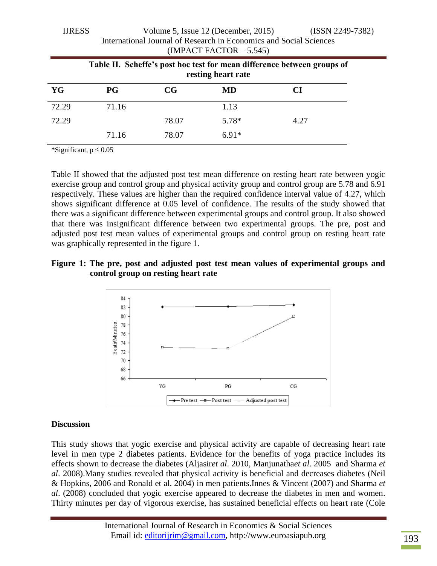| www<br>$\overline{v}$ order $\overline{v}$ , room is (December, 2019)<br>1001122177<br>International Journal of Research in Economics and Social Sciences<br>$(IMPACT FACTOR - 5.545)$ |       |             |         |           |  |  |
|----------------------------------------------------------------------------------------------------------------------------------------------------------------------------------------|-------|-------------|---------|-----------|--|--|
| Table II. Scheffe's post hoc test for mean difference between groups of<br>resting heart rate                                                                                          |       |             |         |           |  |  |
| YG                                                                                                                                                                                     | P G   | $_{\rm CG}$ | MD      | <b>CI</b> |  |  |
| 72.29                                                                                                                                                                                  | 71.16 |             | 1.13    |           |  |  |
| 72.29                                                                                                                                                                                  |       | 78.07       | $5.78*$ | 4.27      |  |  |
|                                                                                                                                                                                        | 71.16 | 78.07       | $6.91*$ |           |  |  |

IJRESS Volume 5, Issue 12 (December, 2015) (ISSN 2249-7382)

\*Significant,  $p \leq 0.05$ 

Table II showed that the adjusted post test mean difference on resting heart rate between yogic exercise group and control group and physical activity group and control group are 5.78 and 6.91 respectively. These values are higher than the required confidence interval value of 4.27, which shows significant difference at 0.05 level of confidence. The results of the study showed that there was a significant difference between experimental groups and control group. It also showed that there was insignificant difference between two experimental groups. The pre, post and adjusted post test mean values of experimental groups and control group on resting heart rate was graphically represented in the figure 1.

### **Figure 1: The pre, post and adjusted post test mean values of experimental groups and control group on resting heart rate**



#### **Discussion**

This study shows that yogic exercise and physical activity are capable of decreasing heart rate level in men type 2 diabetes patients. Evidence for the benefits of yoga practice includes its effects shown to decrease the diabetes (Aljasir*et al*. 2010, Manjunatha*et al*. 2005 and Sharma *et al*. 2008).Many studies revealed that physical activity is beneficial and decreases diabetes (Neil & Hopkins, 2006 and Ronald et al. 2004) in men patients.Innes & Vincent (2007) and Sharma *et al*. (2008) concluded that yogic exercise appeared to decrease the diabetes in men and women. Thirty minutes per day of vigorous exercise, has sustained beneficial effects on heart rate (Cole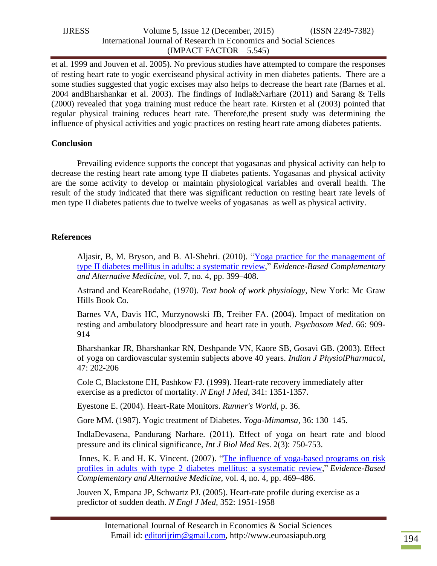| <b>LIRESS</b> | Volume 5, Issue 12 (December, 2015)                                | $(ISSN 2249-7382)$ |  |
|---------------|--------------------------------------------------------------------|--------------------|--|
|               | International Journal of Research in Economics and Social Sciences |                    |  |
|               | $(IMPACT FACTOR - 5.545)$                                          |                    |  |

et al. 1999 and Jouven et al. 2005). No previous studies have attempted to compare the responses of resting heart rate to yogic exerciseand physical activity in men diabetes patients. There are a some studies suggested that yogic excises may also helps to decrease the heart rate (Barnes et al. 2004 andBharshankar et al. 2003). The findings of Indla&Narhare (2011) and Sarang & Tells (2000) revealed that yoga training must reduce the heart rate. Kirsten et al (2003) pointed that regular physical training reduces heart rate. Therefore,the present study was determining the influence of physical activities and yogic practices on resting heart rate among diabetes patients.

# **Conclusion**

Prevailing evidence supports the concept that yogasanas and physical activity can help to decrease the resting heart rate among type II diabetes patients. Yogasanas and physical activity are the some activity to develop or maintain physiological variables and overall health. The result of the study indicated that there was significant reduction on resting heart rate levels of men type II diabetes patients due to twelve weeks of yogasanas as well as physical activity.

# **References**

Aljasir, B, M. Bryson, and B. Al-Shehri. (2010). "Yoga practice for the [management](http://dx.doi.org/10.1093/ecam/nen027) of type II diabetes mellitus in adults: a [systematic](http://dx.doi.org/10.1093/ecam/nen027) review," *Evidence-Based Complementary and Alternative Medicine*, vol. 7, no. 4, pp. 399–408.

Astrand and KeareRodahe, (1970). *Text book of work physiology*, New York: Mc Graw Hills Book Co.

Barnes VA, Davis HC, Murzynowski JB, Treiber FA. (2004). Impact of meditation on resting and ambulatory bloodpressure and heart rate in youth. *Psychosom Med*. 66: 909- 914

Bharshankar JR, Bharshankar RN, Deshpande VN, Kaore SB, Gosavi GB. (2003). Effect of yoga on cardiovascular systemin subjects above 40 years. *Indian J PhysiolPharmacol*, 47: 202-206

Cole C, Blackstone EH, Pashkow FJ. (1999). Heart-rate recovery immediately after exercise as a predictor of mortality. *N Engl J Med*, 341: 1351-1357.

Eyestone E. (2004). Heart-Rate Monitors. *Runner's World*, p. 36.

Gore MM. (1987). Yogic treatment of Diabetes. *Yoga-Mimamsa,* 36: 130–145.

IndlaDevasena, Pandurang Narhare. (2011). Effect of yoga on heart rate and blood pressure and its clinical significance, *Int J Biol Med Res*. 2(3): 750-753.

Innes, K. E and H. K. Vincent. (2007). "The influence of [yoga-based](http://dx.doi.org/10.1093/ecam/nel103) programs on risk profiles in adults with type 2 diabetes mellitus: a [systematic](http://dx.doi.org/10.1093/ecam/nel103) review," *Evidence-Based Complementary and Alternative Medicine*, vol. 4, no. 4, pp. 469–486.

Jouven X, Empana JP, Schwartz PJ. (2005). Heart-rate profile during exercise as a predictor of sudden death. *N Engl J Med,* 352: 1951-1958